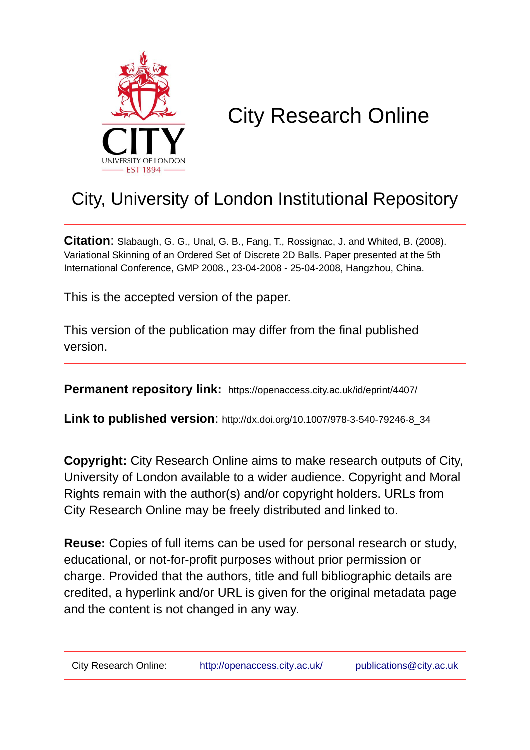

# City Research Online

## City, University of London Institutional Repository

**Citation**: Slabaugh, G. G., Unal, G. B., Fang, T., Rossignac, J. and Whited, B. (2008). Variational Skinning of an Ordered Set of Discrete 2D Balls. Paper presented at the 5th International Conference, GMP 2008., 23-04-2008 - 25-04-2008, Hangzhou, China.

This is the accepted version of the paper.

This version of the publication may differ from the final published version.

**Permanent repository link:** https://openaccess.city.ac.uk/id/eprint/4407/

**Link to published version**: http://dx.doi.org/10.1007/978-3-540-79246-8\_34

**Copyright:** City Research Online aims to make research outputs of City, University of London available to a wider audience. Copyright and Moral Rights remain with the author(s) and/or copyright holders. URLs from City Research Online may be freely distributed and linked to.

**Reuse:** Copies of full items can be used for personal research or study, educational, or not-for-profit purposes without prior permission or charge. Provided that the authors, title and full bibliographic details are credited, a hyperlink and/or URL is given for the original metadata page and the content is not changed in any way.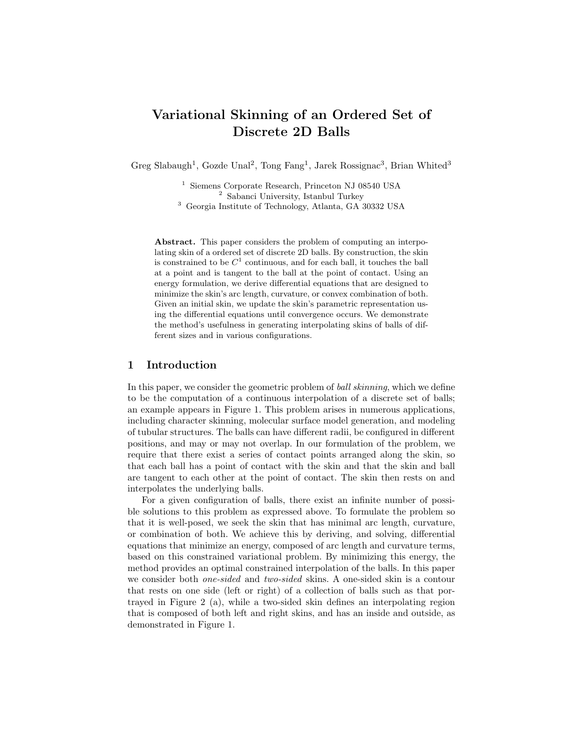### Variational Skinning of an Ordered Set of Discrete 2D Balls

Greg Slabaugh<sup>1</sup>, Gozde Unal<sup>2</sup>, Tong Fang<sup>1</sup>, Jarek Rossignac<sup>3</sup>, Brian Whited<sup>3</sup>

<sup>1</sup> Siemens Corporate Research, Princeton NJ 08540 USA <sup>2</sup> Sabanci University, Istanbul Turkey <sup>3</sup> Georgia Institute of Technology, Atlanta, GA 30332 USA

Abstract. This paper considers the problem of computing an interpolating skin of a ordered set of discrete 2D balls. By construction, the skin is constrained to be  $C^1$  continuous, and for each ball, it touches the ball at a point and is tangent to the ball at the point of contact. Using an energy formulation, we derive differential equations that are designed to minimize the skin's arc length, curvature, or convex combination of both. Given an initial skin, we update the skin's parametric representation using the differential equations until convergence occurs. We demonstrate the method's usefulness in generating interpolating skins of balls of different sizes and in various configurations.

#### 1 Introduction

In this paper, we consider the geometric problem of ball skinning, which we define to be the computation of a continuous interpolation of a discrete set of balls; an example appears in Figure 1. This problem arises in numerous applications, including character skinning, molecular surface model generation, and modeling of tubular structures. The balls can have different radii, be configured in different positions, and may or may not overlap. In our formulation of the problem, we require that there exist a series of contact points arranged along the skin, so that each ball has a point of contact with the skin and that the skin and ball are tangent to each other at the point of contact. The skin then rests on and interpolates the underlying balls.

For a given configuration of balls, there exist an infinite number of possible solutions to this problem as expressed above. To formulate the problem so that it is well-posed, we seek the skin that has minimal arc length, curvature, or combination of both. We achieve this by deriving, and solving, differential equations that minimize an energy, composed of arc length and curvature terms, based on this constrained variational problem. By minimizing this energy, the method provides an optimal constrained interpolation of the balls. In this paper we consider both one-sided and two-sided skins. A one-sided skin is a contour that rests on one side (left or right) of a collection of balls such as that portrayed in Figure 2 (a), while a two-sided skin defines an interpolating region that is composed of both left and right skins, and has an inside and outside, as demonstrated in Figure 1.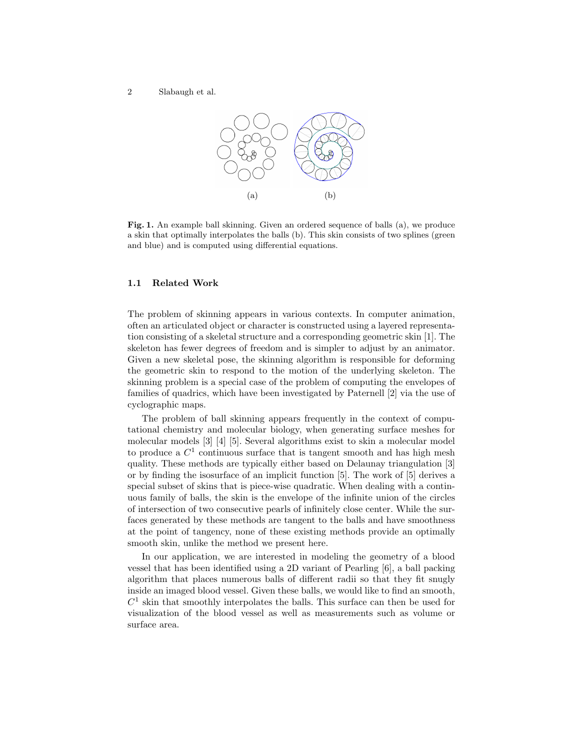2 Slabaugh et al.



Fig. 1. An example ball skinning. Given an ordered sequence of balls (a), we produce a skin that optimally interpolates the balls (b). This skin consists of two splines (green and blue) and is computed using differential equations.

#### 1.1 Related Work

The problem of skinning appears in various contexts. In computer animation, often an articulated object or character is constructed using a layered representation consisting of a skeletal structure and a corresponding geometric skin [1]. The skeleton has fewer degrees of freedom and is simpler to adjust by an animator. Given a new skeletal pose, the skinning algorithm is responsible for deforming the geometric skin to respond to the motion of the underlying skeleton. The skinning problem is a special case of the problem of computing the envelopes of families of quadrics, which have been investigated by Paternell [2] via the use of cyclographic maps.

The problem of ball skinning appears frequently in the context of computational chemistry and molecular biology, when generating surface meshes for molecular models [3] [4] [5]. Several algorithms exist to skin a molecular model to produce a  $C^1$  continuous surface that is tangent smooth and has high mesh quality. These methods are typically either based on Delaunay triangulation [3] or by finding the isosurface of an implicit function [5]. The work of [5] derives a special subset of skins that is piece-wise quadratic. When dealing with a continuous family of balls, the skin is the envelope of the infinite union of the circles of intersection of two consecutive pearls of infinitely close center. While the surfaces generated by these methods are tangent to the balls and have smoothness at the point of tangency, none of these existing methods provide an optimally smooth skin, unlike the method we present here.

In our application, we are interested in modeling the geometry of a blood vessel that has been identified using a 2D variant of Pearling [6], a ball packing algorithm that places numerous balls of different radii so that they fit snugly inside an imaged blood vessel. Given these balls, we would like to find an smooth,  $C<sup>1</sup>$  skin that smoothly interpolates the balls. This surface can then be used for visualization of the blood vessel as well as measurements such as volume or surface area.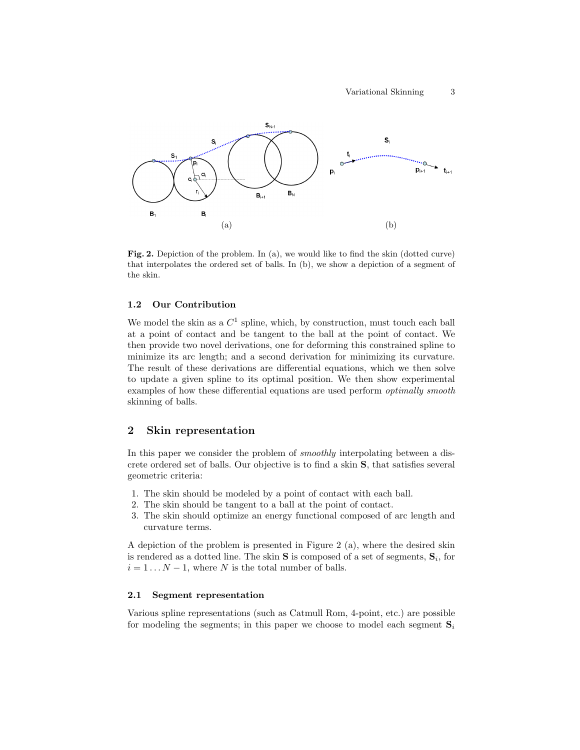

Fig. 2. Depiction of the problem. In (a), we would like to find the skin (dotted curve) that interpolates the ordered set of balls. In (b), we show a depiction of a segment of the skin.

#### 1.2 Our Contribution

We model the skin as a  $C^1$  spline, which, by construction, must touch each ball at a point of contact and be tangent to the ball at the point of contact. We then provide two novel derivations, one for deforming this constrained spline to minimize its arc length; and a second derivation for minimizing its curvature. The result of these derivations are differential equations, which we then solve to update a given spline to its optimal position. We then show experimental examples of how these differential equations are used perform optimally smooth skinning of balls.

#### 2 Skin representation

In this paper we consider the problem of *smoothly* interpolating between a discrete ordered set of balls. Our objective is to find a skin S, that satisfies several geometric criteria:

- 1. The skin should be modeled by a point of contact with each ball.
- 2. The skin should be tangent to a ball at the point of contact.
- 3. The skin should optimize an energy functional composed of arc length and curvature terms.

A depiction of the problem is presented in Figure 2 (a), where the desired skin is rendered as a dotted line. The skin **S** is composed of a set of segments,  $\mathbf{S}_i$ , for  $i = 1 \dots N - 1$ , where N is the total number of balls.

#### 2.1 Segment representation

Various spline representations (such as Catmull Rom, 4-point, etc.) are possible for modeling the segments; in this paper we choose to model each segment  $S_i$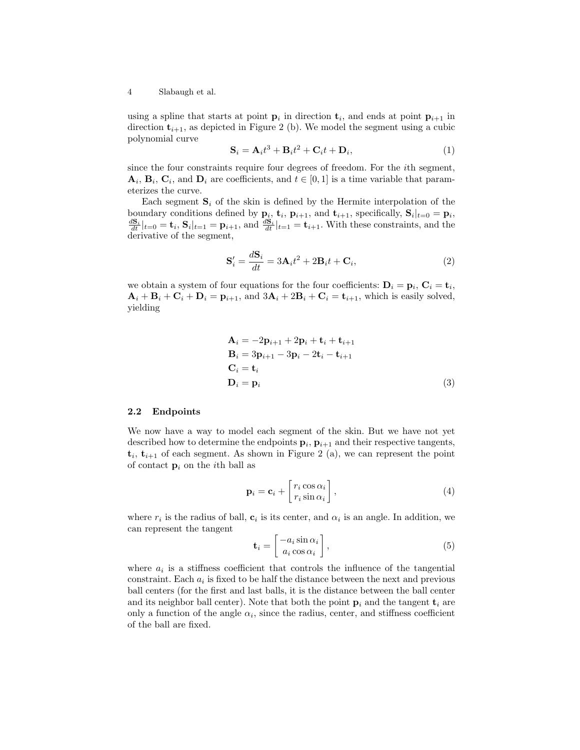4 Slabaugh et al.

using a spline that starts at point  $\mathbf{p}_i$  in direction  $\mathbf{t}_i$ , and ends at point  $\mathbf{p}_{i+1}$  in direction  $t_{i+1}$ , as depicted in Figure 2 (b). We model the segment using a cubic polynomial curve

$$
\mathbf{S}_i = \mathbf{A}_i t^3 + \mathbf{B}_i t^2 + \mathbf{C}_i t + \mathbf{D}_i, \tag{1}
$$

since the four constraints require four degrees of freedom. For the ith segment,  $A_i, B_i, C_i$ , and  $D_i$  are coefficients, and  $t \in [0, 1]$  is a time variable that parameterizes the curve.

Each segment  $S_i$  of the skin is defined by the Hermite interpolation of the boundary conditions defined by  $\mathbf{p}_i$ ,  $\mathbf{t}_i$ ,  $\mathbf{p}_{i+1}$ , and  $\mathbf{t}_{i+1}$ , specifically,  $\mathbf{S}_i|_{t=0} = \mathbf{p}_i$ ,  $\frac{d\mathbf{S}_i}{dt}|_{t=0} = \mathbf{t}_i$ ,  $\mathbf{S}_i|_{t=1} = \mathbf{p}_{i+1}$ , and  $\frac{d\mathbf{S}_i}{dt}|_{t=1} = \mathbf{t}_{i+1}$ . derivative of the segment,

$$
\mathbf{S}'_i = \frac{d\mathbf{S}_i}{dt} = 3\mathbf{A}_i t^2 + 2\mathbf{B}_i t + \mathbf{C}_i,
$$
\n(2)

we obtain a system of four equations for the four coefficients:  $D_i = p_i$ ,  $C_i = t_i$ ,  $\mathbf{A}_i + \mathbf{B}_i + \mathbf{C}_i + \mathbf{D}_i = \mathbf{p}_{i+1}$ , and  $3\mathbf{A}_i + 2\mathbf{B}_i + \mathbf{C}_i = \mathbf{t}_{i+1}$ , which is easily solved, yielding

$$
\mathbf{A}_{i} = -2\mathbf{p}_{i+1} + 2\mathbf{p}_{i} + \mathbf{t}_{i} + \mathbf{t}_{i+1}
$$
  
\n
$$
\mathbf{B}_{i} = 3\mathbf{p}_{i+1} - 3\mathbf{p}_{i} - 2\mathbf{t}_{i} - \mathbf{t}_{i+1}
$$
  
\n
$$
\mathbf{C}_{i} = \mathbf{t}_{i}
$$
  
\n
$$
\mathbf{D}_{i} = \mathbf{p}_{i}
$$
 (3)

#### 2.2 Endpoints

We now have a way to model each segment of the skin. But we have not yet described how to determine the endpoints  $\mathbf{p}_i$ ,  $\mathbf{p}_{i+1}$  and their respective tangents,  $\mathbf{t}_i, \mathbf{t}_{i+1}$  of each segment. As shown in Figure 2 (a), we can represent the point of contact  $\mathbf{p}_i$  on the *i*th ball as

$$
\mathbf{p}_{i} = \mathbf{c}_{i} + \begin{bmatrix} r_{i} \cos \alpha_{i} \\ r_{i} \sin \alpha_{i} \end{bmatrix}, \qquad (4)
$$

where  $r_i$  is the radius of ball,  $c_i$  is its center, and  $\alpha_i$  is an angle. In addition, we can represent the tangent

$$
\mathbf{t}_{i} = \begin{bmatrix} -a_{i} \sin \alpha_{i} \\ a_{i} \cos \alpha_{i} \end{bmatrix}, \tag{5}
$$

where  $a_i$  is a stiffness coefficient that controls the influence of the tangential constraint. Each  $a_i$  is fixed to be half the distance between the next and previous ball centers (for the first and last balls, it is the distance between the ball center and its neighbor ball center). Note that both the point  $\mathbf{p}_i$  and the tangent  $\mathbf{t}_i$  are only a function of the angle  $\alpha_i$ , since the radius, center, and stiffness coefficient of the ball are fixed.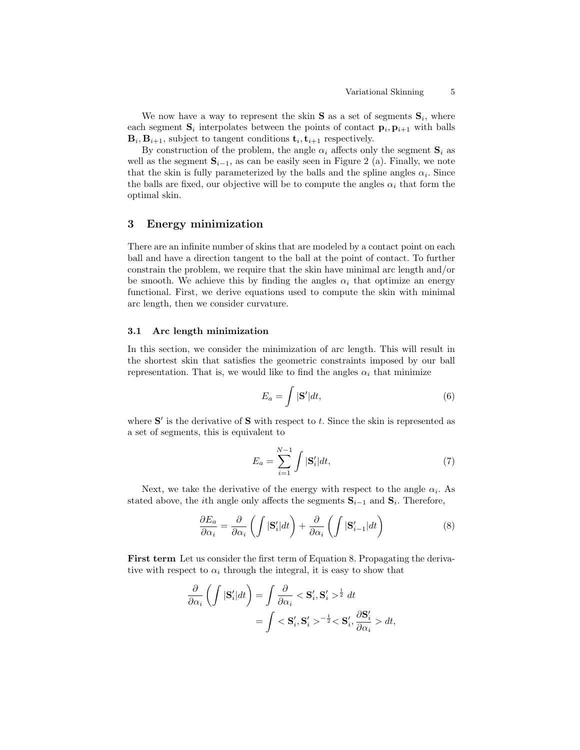We now have a way to represent the skin  $S$  as a set of segments  $S_i$ , where each segment  $S_i$  interpolates between the points of contact  $p_i, p_{i+1}$  with balls  $\mathbf{B}_i, \mathbf{B}_{i+1}$ , subject to tangent conditions  $\mathbf{t}_i, \mathbf{t}_{i+1}$  respectively.

By construction of the problem, the angle  $\alpha_i$  affects only the segment  $S_i$  as well as the segment  $S_{i-1}$ , as can be easily seen in Figure 2 (a). Finally, we note that the skin is fully parameterized by the balls and the spline angles  $\alpha_i$ . Since the balls are fixed, our objective will be to compute the angles  $\alpha_i$  that form the optimal skin.

#### 3 Energy minimization

There are an infinite number of skins that are modeled by a contact point on each ball and have a direction tangent to the ball at the point of contact. To further constrain the problem, we require that the skin have minimal arc length and/or be smooth. We achieve this by finding the angles  $\alpha_i$  that optimize an energy functional. First, we derive equations used to compute the skin with minimal arc length, then we consider curvature.

#### 3.1 Arc length minimization

In this section, we consider the minimization of arc length. This will result in the shortest skin that satisfies the geometric constraints imposed by our ball representation. That is, we would like to find the angles  $\alpha_i$  that minimize

$$
E_a = \int |\mathbf{S}'| dt,\tag{6}
$$

where  $S'$  is the derivative of  $S$  with respect to t. Since the skin is represented as a set of segments, this is equivalent to

$$
E_a = \sum_{i=1}^{N-1} \int |\mathbf{S}'_i| dt, \tag{7}
$$

Next, we take the derivative of the energy with respect to the angle  $\alpha_i$ . As stated above, the *i*th angle only affects the segments  $S_{i-1}$  and  $S_i$ . Therefore,

$$
\frac{\partial E_a}{\partial \alpha_i} = \frac{\partial}{\partial \alpha_i} \left( \int |\mathbf{S}'_i| dt \right) + \frac{\partial}{\partial \alpha_i} \left( \int |\mathbf{S}'_{i-1}| dt \right) \tag{8}
$$

First term Let us consider the first term of Equation 8. Propagating the derivative with respect to  $\alpha_i$  through the integral, it is easy to show that

$$
\frac{\partial}{\partial \alpha_i} \left( \int |\mathbf{S}'_i| dt \right) = \int \frac{\partial}{\partial \alpha_i} < \mathbf{S}'_i, \mathbf{S}'_i >^{\frac{1}{2}} dt
$$
\n
$$
= \int < \mathbf{S}'_i, \mathbf{S}'_i >^{-\frac{1}{2}} < \mathbf{S}'_i, \frac{\partial \mathbf{S}'_i}{\partial \alpha_i} > dt,
$$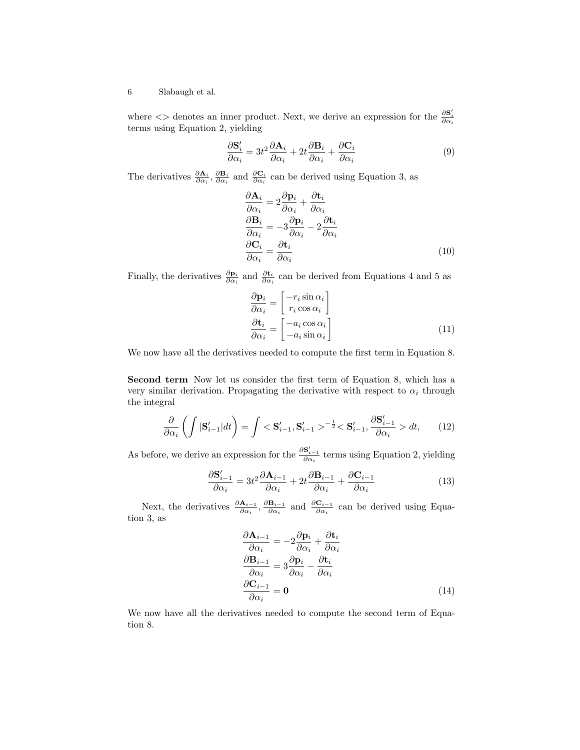#### 6 Slabaugh et al.

where  $\langle \rangle$  denotes an inner product. Next, we derive an expression for the  $\frac{\partial S'_i}{\partial \alpha_i}$ terms using Equation 2, yielding

$$
\frac{\partial \mathbf{S}'_i}{\partial \alpha_i} = 3t^2 \frac{\partial \mathbf{A}_i}{\partial \alpha_i} + 2t \frac{\partial \mathbf{B}_i}{\partial \alpha_i} + \frac{\partial \mathbf{C}_i}{\partial \alpha_i}
$$
(9)

The derivatives  $\frac{\partial \mathbf{A}_i}{\partial \alpha_i}, \frac{\partial \mathbf{B}_i}{\partial \alpha_i}$  and  $\frac{\partial \mathbf{C}_i}{\partial \alpha_i}$  can be derived using Equation 3, as

$$
\frac{\partial \mathbf{A}_i}{\partial \alpha_i} = 2 \frac{\partial \mathbf{p}_i}{\partial \alpha_i} + \frac{\partial \mathbf{t}_i}{\partial \alpha_i}
$$

$$
\frac{\partial \mathbf{B}_i}{\partial \alpha_i} = -3 \frac{\partial \mathbf{p}_i}{\partial \alpha_i} - 2 \frac{\partial \mathbf{t}_i}{\partial \alpha_i}
$$

$$
\frac{\partial \mathbf{C}_i}{\partial \alpha_i} = \frac{\partial \mathbf{t}_i}{\partial \alpha_i}
$$
(10)

Finally, the derivatives  $\frac{\partial \mathbf{p}_i}{\partial \alpha_i}$  and  $\frac{\partial \mathbf{t}_i}{\partial \alpha_i}$  can be derived from Equations 4 and 5 as

$$
\frac{\partial \mathbf{p}_i}{\partial \alpha_i} = \begin{bmatrix} -r_i \sin \alpha_i \\ r_i \cos \alpha_i \end{bmatrix}
$$

$$
\frac{\partial \mathbf{t}_i}{\partial \alpha_i} = \begin{bmatrix} -a_i \cos \alpha_i \\ -a_i \sin \alpha_i \end{bmatrix}
$$
(11)

We now have all the derivatives needed to compute the first term in Equation 8.

Second term Now let us consider the first term of Equation 8, which has a very similar derivation. Propagating the derivative with respect to  $\alpha_i$  through the integral

$$
\frac{\partial}{\partial \alpha_i} \left( \int |\mathbf{S}_{i-1}'| dt \right) = \int \langle \mathbf{S}_{i-1}', \mathbf{S}_{i-1}' > ^{-\frac{1}{2}} \langle \mathbf{S}_{i-1}', \frac{\partial \mathbf{S}_{i-1}'}{\partial \alpha_i} > dt, \qquad (12)
$$

As before, we derive an expression for the  $\frac{\partial S'_{i-1}}{\partial \alpha_i}$  terms using Equation 2, yielding

$$
\frac{\partial \mathbf{S}_{i-1}'}{\partial \alpha_i} = 3t^2 \frac{\partial \mathbf{A}_{i-1}}{\partial \alpha_i} + 2t \frac{\partial \mathbf{B}_{i-1}}{\partial \alpha_i} + \frac{\partial \mathbf{C}_{i-1}}{\partial \alpha_i}
$$
(13)

Next, the derivatives  $\frac{\partial \mathbf{A}_{i-1}}{\partial \alpha_i}, \frac{\partial \mathbf{B}_{i-1}}{\partial \alpha_i}$  $\frac{\mathbf{B}_{i-1}}{\partial \alpha_i}$  and  $\frac{\partial \mathbf{C}_{i-1}}{\partial \alpha_i}$  can be derived using Equation 3, as

$$
\frac{\partial \mathbf{A}_{i-1}}{\partial \alpha_i} = -2 \frac{\partial \mathbf{p}_i}{\partial \alpha_i} + \frac{\partial \mathbf{t}_i}{\partial \alpha_i}
$$

$$
\frac{\partial \mathbf{B}_{i-1}}{\partial \alpha_i} = 3 \frac{\partial \mathbf{p}_i}{\partial \alpha_i} - \frac{\partial \mathbf{t}_i}{\partial \alpha_i}
$$

$$
\frac{\partial \mathbf{C}_{i-1}}{\partial \alpha_i} = \mathbf{0}
$$
(14)

We now have all the derivatives needed to compute the second term of Equation 8.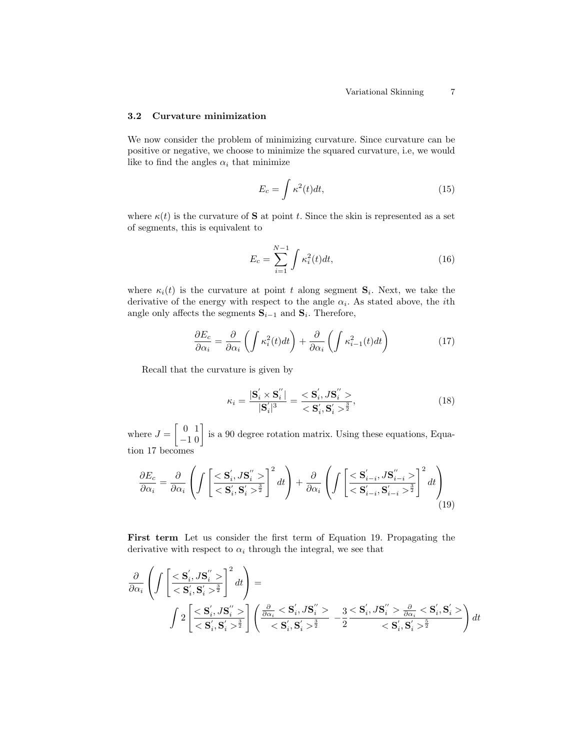#### 3.2 Curvature minimization

We now consider the problem of minimizing curvature. Since curvature can be positive or negative, we choose to minimize the squared curvature, i.e, we would like to find the angles  $\alpha_i$  that minimize

$$
E_c = \int \kappa^2(t)dt,\tag{15}
$$

where  $\kappa(t)$  is the curvature of **S** at point t. Since the skin is represented as a set of segments, this is equivalent to

$$
E_c = \sum_{i=1}^{N-1} \int \kappa_i^2(t) dt,
$$
\n(16)

where  $\kappa_i(t)$  is the curvature at point t along segment  $S_i$ . Next, we take the derivative of the energy with respect to the angle  $\alpha_i$ . As stated above, the *i*th angle only affects the segments  $S_{i-1}$  and  $S_i$ . Therefore,

$$
\frac{\partial E_c}{\partial \alpha_i} = \frac{\partial}{\partial \alpha_i} \left( \int \kappa_i^2(t) dt \right) + \frac{\partial}{\partial \alpha_i} \left( \int \kappa_{i-1}^2(t) dt \right) \tag{17}
$$

Recall that the curvature is given by

$$
\kappa_i = \frac{|\mathbf{S}_i' \times \mathbf{S}_i''|}{|\mathbf{S}_i'|^3} = \frac{\langle \mathbf{S}_i', J\mathbf{S}_i'' \rangle}{\langle \mathbf{S}_i', \mathbf{S}_i' \rangle^{\frac{3}{2}}},\tag{18}
$$

where  $J = \begin{bmatrix} 0 & 1 \\ -1 & 0 \end{bmatrix}$  is a 90 degree rotation matrix. Using these equations, Equation 17 becomes

$$
\frac{\partial E_c}{\partial \alpha_i} = \frac{\partial}{\partial \alpha_i} \left( \int \left[ \frac{<\mathbf{S}'_i, J\mathbf{S}''_i>}{<\mathbf{S}'_i, \mathbf{S}'_i>^{\frac{3}{2}}} \right]^2 dt \right) + \frac{\partial}{\partial \alpha_i} \left( \int \left[ \frac{<\mathbf{S}'_{i-i}, J\mathbf{S}''_{i-i}>}{<\mathbf{S}'_{i-i}, \mathbf{S}'_{i-i}>^{\frac{3}{2}}} \right]^2 dt \right)
$$
(19)

First term Let us consider the first term of Equation 19. Propagating the derivative with respect to  $\alpha_i$  through the integral, we see that

$$
\begin{split} \frac{\partial}{\partial \alpha_i}\left(\int\left[\frac{<\mathbf{S}_i^{'},J\mathbf{S}_i^{''}>}{<\mathbf{S}_i^{'},\mathbf{S}_i^{'}>^{3\over2}}\right]^2 dt\right)=\\ \int 2\left[\frac{<\mathbf{S}_i^{'},J\mathbf{S}_i^{''}>}{<\mathbf{S}_i^{'},\mathbf{S}_i^{'}>^{3\over2}}\right]\left(\frac{\frac{\partial}{\partial \alpha_i}<\mathbf{S}_i^{'},J\mathbf{S}_i^{''}>}{<\mathbf{S}_i^{'},J\mathbf{S}_i^{'}>^{3\over2}}-\frac{3}{2}\frac{<\mathbf{S}_i^{'},J\mathbf{S}_i^{''}> \frac{\partial}{\partial \alpha_i}<\mathbf{S}_i^{'},\mathbf{S}_i^{'}>}{<\mathbf{S}_i^{'},\mathbf{S}_i^{'}>^{5\over2}}\right) dt\end{split}
$$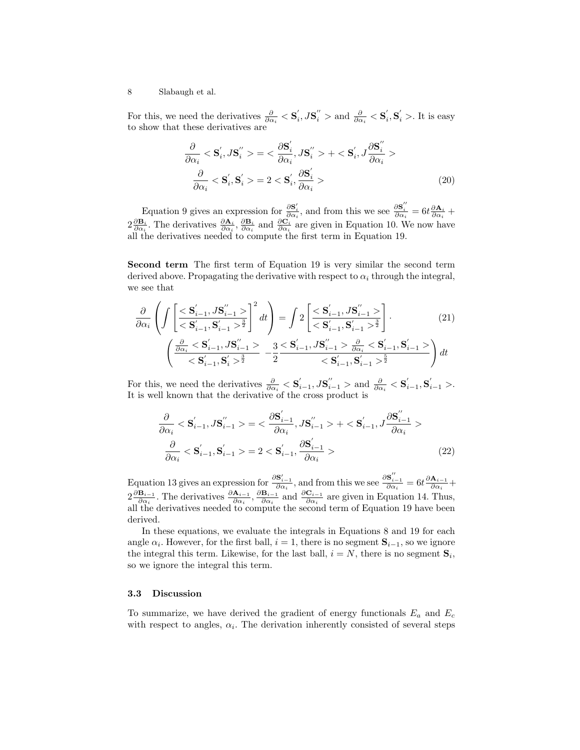#### 8 Slabaugh et al.

For this, we need the derivatives  $\frac{\partial}{\partial \alpha_i} < \mathbf{S}'_i, J\mathbf{S}''_i > \text{and } \frac{\partial}{\partial \alpha_i} < \mathbf{S}'_i, \mathbf{S}'_i >$ . It is easy to show that these derivatives are

$$
\frac{\partial}{\partial \alpha_i} < \mathbf{S}_i', J\mathbf{S}_i'' > = < \frac{\partial \mathbf{S}_i'}{\partial \alpha_i}, J\mathbf{S}_i'' > + < \mathbf{S}_i', J\frac{\partial \mathbf{S}_i''}{\partial \alpha_i} > \\
\frac{\partial}{\partial \alpha_i} < \mathbf{S}_i', \mathbf{S}_i' > = 2 < \mathbf{S}_i', \frac{\partial \mathbf{S}_i'}{\partial \alpha_i} > \n\tag{20}
$$

Equation 9 gives an expression for  $\frac{\partial \mathbf{S}'_i}{\partial \alpha_i}$ , and from this we see  $\frac{\partial \mathbf{S}''_i}{\partial \alpha_i} = 6t \frac{\partial \mathbf{A}_i}{\partial \alpha_i} + \frac{\partial \mathbf{A}_i}{\partial \alpha_i}$  $2\frac{\partial \mathbf{B}_{i}}{\partial \alpha_{i}}$ . The derivatives  $\frac{\partial \mathbf{A}_{i}}{\partial \alpha_{i}}$ ,  $\frac{\partial \mathbf{B}_{i}}{\partial \alpha_{i}}$  and  $\frac{\partial \mathbf{C}_{i}}{\partial \alpha_{i}}$  are given in Equation 10. We now have all the derivatives needed to compute the first term in Equation 19.

Second term The first term of Equation 19 is very similar the second term derived above. Propagating the derivative with respect to  $\alpha_i$  through the integral, we see that

$$
\frac{\partial}{\partial \alpha_i} \left( \int \left[ \frac{<\mathbf{S}_{i-1}', J\mathbf{S}_{i-1}'' >}{<\mathbf{S}_{i-1}', \mathbf{S}_{i-1}' > \frac{3}{2}} \right]^2 dt \right) = \int 2 \left[ \frac{<\mathbf{S}_{i-1}', J\mathbf{S}_{i-1}'' >}{<\mathbf{S}_{i-1}', \mathbf{S}_{i-1}' > \frac{3}{2}} \right].
$$
\n(21)\n
$$
\left( \frac{\frac{\partial}{\partial \alpha_i} <\mathbf{S}_{i-1}', J\mathbf{S}_{i-1}'' >}{<\mathbf{S}_{i-1}', \mathbf{S}_{i}' > \frac{3}{2}} - \frac{3}{2} \frac{<\mathbf{S}_{i-1}', J\mathbf{S}_{i-1}'' > \frac{\partial}{\partial \alpha_i} <\mathbf{S}_{i-1}', \mathbf{S}_{i-1}' >}{<\mathbf{S}_{i-1}', \mathbf{S}_{i-1}' > \frac{5}{2}} \right) dt
$$

For this, we need the derivatives  $\frac{\partial}{\partial \alpha_i} < \mathbf{S}_{i-1}$ ,  $J\mathbf{S}_{i-1}'' >$  and  $\frac{\partial}{\partial \alpha_i} < \mathbf{S}_{i-1}', \mathbf{S}_{i-1}' >$ . It is well known that the derivative of the cross product is

$$
\frac{\partial}{\partial \alpha_i} < \mathbf{S}'_{i-1}, J\mathbf{S}''_{i-1} > = \frac{\partial \mathbf{S}'_{i-1}}{\partial \alpha_i}, J\mathbf{S}''_{i-1} > + \frac{\partial \mathbf{S}'_{i-1}}{\partial \alpha_i} > \\
\frac{\partial}{\partial \alpha_i} < \mathbf{S}'_{i-1}, \mathbf{S}'_{i-1} > = 2 < \mathbf{S}'_{i-1}, \frac{\partial \mathbf{S}'_{i-1}}{\partial \alpha_i} > \tag{22}
$$

Equation 13 gives an expression for  $\frac{\partial S'_{i-1}}{\partial \alpha_i}$ , and from this we see  $\frac{\partial S''_{i-1}}{\partial \alpha_i} = 6t \frac{\partial A_{i-1}}{\partial \alpha_i}$  $\frac{\mathbf{A}_{i-1}}{\partial \alpha_i} +$  $2\frac{\partial \mathbf{B}_{i-1}}{\partial \alpha}$  $\frac{\mathbf{B}_{i-1}}{\partial \alpha_i}$ . The derivatives  $\frac{\partial \mathbf{A}_{i-1}}{\partial \alpha_i}, \frac{\partial \mathbf{B}_{i-1}}{\partial \alpha_i}$  $\frac{\mathbf{B}_{i-1}}{\partial \alpha_i}$  and  $\frac{\partial \mathbf{C}_{i-1}}{\partial \alpha_i}$  are given in Equation 14. Thus, all the derivatives needed to compute the second term of Equation 19 have been derived.

In these equations, we evaluate the integrals in Equations 8 and 19 for each angle  $\alpha_i$ . However, for the first ball,  $i = 1$ , there is no segment  $S_{i-1}$ , so we ignore the integral this term. Likewise, for the last ball,  $i = N$ , there is no segment  $S_i$ , so we ignore the integral this term.

#### 3.3 Discussion

To summarize, we have derived the gradient of energy functionals  $E_a$  and  $E_c$ with respect to angles,  $\alpha_i$ . The derivation inherently consisted of several steps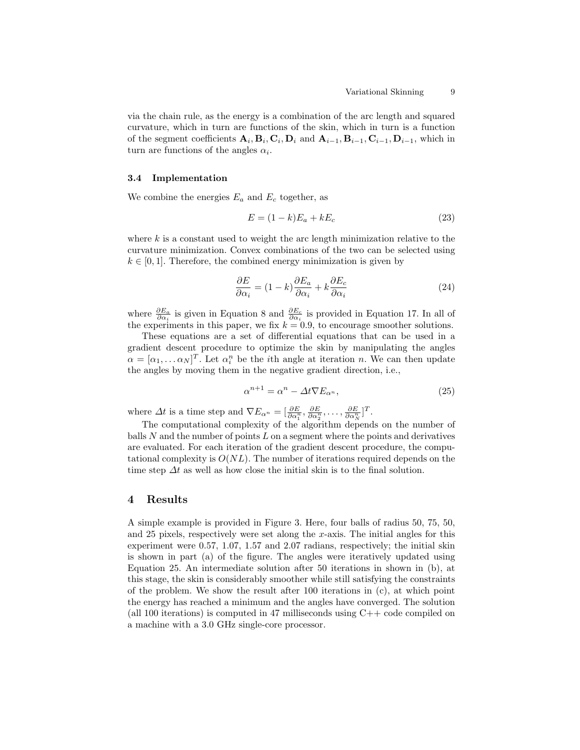via the chain rule, as the energy is a combination of the arc length and squared curvature, which in turn are functions of the skin, which in turn is a function of the segment coefficients  $\mathbf{A}_i$ ,  $\mathbf{B}_i$ ,  $\mathbf{C}_i$ ,  $\mathbf{D}_i$  and  $\mathbf{A}_{i-1}$ ,  $\mathbf{B}_{i-1}$ ,  $\mathbf{C}_{i-1}$ ,  $\mathbf{D}_{i-1}$ , which in turn are functions of the angles  $\alpha_i$ .

#### 3.4 Implementation

We combine the energies  $E_a$  and  $E_c$  together, as

$$
E = (1 - k)E_a + kE_c \tag{23}
$$

where  $k$  is a constant used to weight the arc length minimization relative to the curvature minimization. Convex combinations of the two can be selected using  $k \in [0, 1]$ . Therefore, the combined energy minimization is given by

$$
\frac{\partial E}{\partial \alpha_i} = (1 - k) \frac{\partial E_a}{\partial \alpha_i} + k \frac{\partial E_c}{\partial \alpha_i}
$$
 (24)

where  $\frac{\partial E_a}{\partial \alpha_i}$  is given in Equation 8 and  $\frac{\partial E_c}{\partial \alpha_i}$  is provided in Equation 17. In all of the experiments in this paper, we fix  $k = 0.9$ , to encourage smoother solutions.

These equations are a set of differential equations that can be used in a gradient descent procedure to optimize the skin by manipulating the angles  $\alpha = [\alpha_1, \dots \alpha_N]^T$ . Let  $\alpha_i^n$  be the *i*<sup>th</sup> angle at iteration *n*. We can then update the angles by moving them in the negative gradient direction, i.e.,

$$
\alpha^{n+1} = \alpha^n - \Delta t \nabla E_{\alpha^n},\tag{25}
$$

where  $\Delta t$  is a time step and  $\nabla E_{\alpha^n} = \left[\frac{\partial E}{\partial \alpha_1^n}, \frac{\partial E}{\partial \alpha_2^n}, \dots, \frac{\partial E}{\partial \alpha_N^n}\right]^T$ .

The computational complexity of the algorithm depends on the number of balls  $N$  and the number of points  $L$  on a segment where the points and derivatives are evaluated. For each iteration of the gradient descent procedure, the computational complexity is  $O(NL)$ . The number of iterations required depends on the time step  $\Delta t$  as well as how close the initial skin is to the final solution.

#### 4 Results

A simple example is provided in Figure 3. Here, four balls of radius 50, 75, 50, and 25 pixels, respectively were set along the x-axis. The initial angles for this experiment were 0.57, 1.07, 1.57 and 2.07 radians, respectively; the initial skin is shown in part (a) of the figure. The angles were iteratively updated using Equation 25. An intermediate solution after 50 iterations in shown in (b), at this stage, the skin is considerably smoother while still satisfying the constraints of the problem. We show the result after 100 iterations in (c), at which point the energy has reached a minimum and the angles have converged. The solution (all 100 iterations) is computed in 47 milliseconds using  $C++$  code compiled on a machine with a 3.0 GHz single-core processor.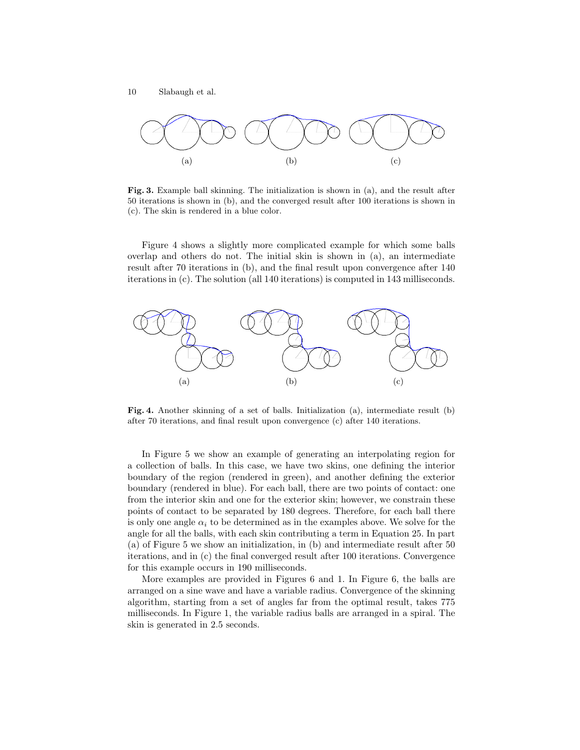

Fig. 3. Example ball skinning. The initialization is shown in (a), and the result after 50 iterations is shown in (b), and the converged result after 100 iterations is shown in (c). The skin is rendered in a blue color.

Figure 4 shows a slightly more complicated example for which some balls overlap and others do not. The initial skin is shown in (a), an intermediate result after 70 iterations in (b), and the final result upon convergence after 140 iterations in (c). The solution (all 140 iterations) is computed in 143 milliseconds.



Fig. 4. Another skinning of a set of balls. Initialization (a), intermediate result (b) after 70 iterations, and final result upon convergence (c) after 140 iterations.

In Figure 5 we show an example of generating an interpolating region for a collection of balls. In this case, we have two skins, one defining the interior boundary of the region (rendered in green), and another defining the exterior boundary (rendered in blue). For each ball, there are two points of contact: one from the interior skin and one for the exterior skin; however, we constrain these points of contact to be separated by 180 degrees. Therefore, for each ball there is only one angle  $\alpha_i$  to be determined as in the examples above. We solve for the angle for all the balls, with each skin contributing a term in Equation 25. In part (a) of Figure 5 we show an initialization, in (b) and intermediate result after 50 iterations, and in (c) the final converged result after 100 iterations. Convergence for this example occurs in 190 milliseconds.

More examples are provided in Figures 6 and 1. In Figure 6, the balls are arranged on a sine wave and have a variable radius. Convergence of the skinning algorithm, starting from a set of angles far from the optimal result, takes 775 milliseconds. In Figure 1, the variable radius balls are arranged in a spiral. The skin is generated in 2.5 seconds.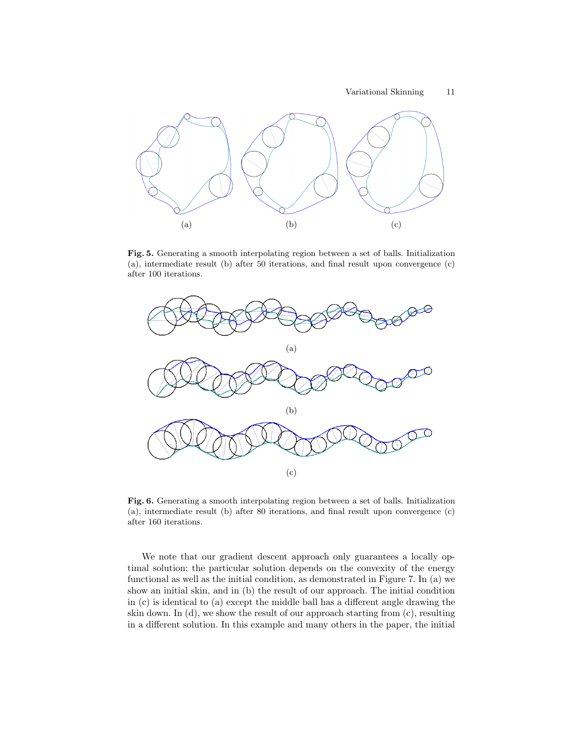

Fig. 5. Generating a smooth interpolating region between a set of balls. Initialization (a), intermediate result (b) after 50 iterations, and final result upon convergence (c) after 100 iterations.



Fig. 6. Generating a smooth interpolating region between a set of balls. Initialization (a), intermediate result (b) after 80 iterations, and final result upon convergence (c) after 160 iterations.

We note that our gradient descent approach only guarantees a locally optimal solution; the particular solution depends on the convexity of the energy functional as well as the initial condition, as demonstrated in Figure 7. In (a) we show an initial skin, and in (b) the result of our approach. The initial condition in (c) is identical to (a) except the middle ball has a different angle drawing the skin down. In (d), we show the result of our approach starting from (c), resulting in a different solution. In this example and many others in the paper, the initial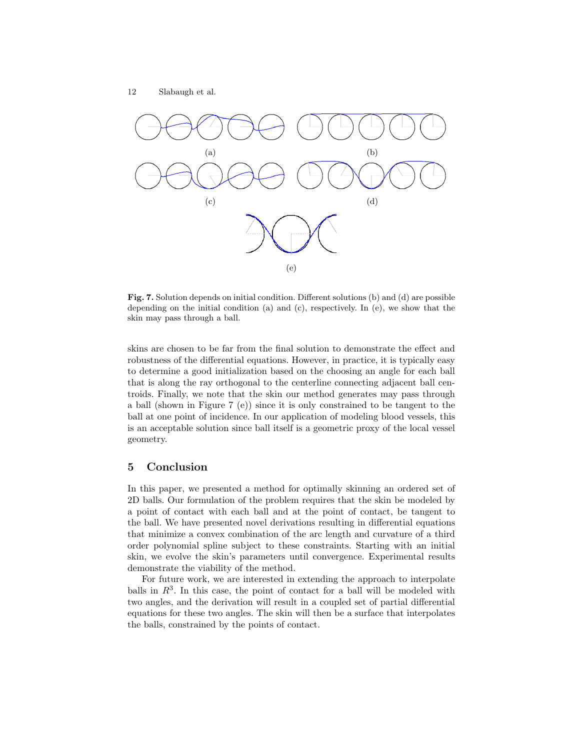

Fig. 7. Solution depends on initial condition. Different solutions (b) and (d) are possible depending on the initial condition (a) and (c), respectively. In (e), we show that the skin may pass through a ball.

skins are chosen to be far from the final solution to demonstrate the effect and robustness of the differential equations. However, in practice, it is typically easy to determine a good initialization based on the choosing an angle for each ball that is along the ray orthogonal to the centerline connecting adjacent ball centroids. Finally, we note that the skin our method generates may pass through a ball (shown in Figure 7 (e)) since it is only constrained to be tangent to the ball at one point of incidence. In our application of modeling blood vessels, this is an acceptable solution since ball itself is a geometric proxy of the local vessel geometry.

#### 5 Conclusion

In this paper, we presented a method for optimally skinning an ordered set of 2D balls. Our formulation of the problem requires that the skin be modeled by a point of contact with each ball and at the point of contact, be tangent to the ball. We have presented novel derivations resulting in differential equations that minimize a convex combination of the arc length and curvature of a third order polynomial spline subject to these constraints. Starting with an initial skin, we evolve the skin's parameters until convergence. Experimental results demonstrate the viability of the method.

For future work, we are interested in extending the approach to interpolate balls in  $R<sup>3</sup>$ . In this case, the point of contact for a ball will be modeled with two angles, and the derivation will result in a coupled set of partial differential equations for these two angles. The skin will then be a surface that interpolates the balls, constrained by the points of contact.